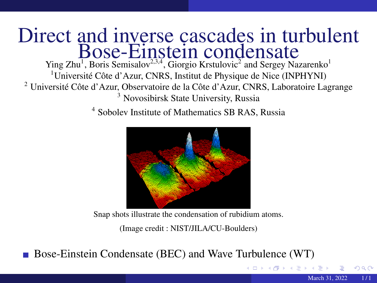## <span id="page-0-0"></span>Direct and inverse cascades in turbulent Bose-Einstein condensate

Ying Zhu<sup>1</sup>, Boris Semisalov<sup>2,3,4</sup>, Giorgio Krstulovic<sup>2</sup> and Sergey Nazarenko<sup>1</sup> Université Côte d'Azur, CNRS, Institut de Physique de Nice (INPHYNI) Université Côte d'Azur, Observatoire de la Côte d'Azur, CNRS, Laboratoire Lagrange Novosibirsk State University, Russia

4 Sobolev Institute of Mathematics SB RAS, Russia



Snap shots illustrate the condensation of rubidium atoms.

(Image credit : NIST/JILA/CU-Boulders)

Bose-Einstein Condensate (BEC) and Wave Turbulence (WT)

 $\Omega$